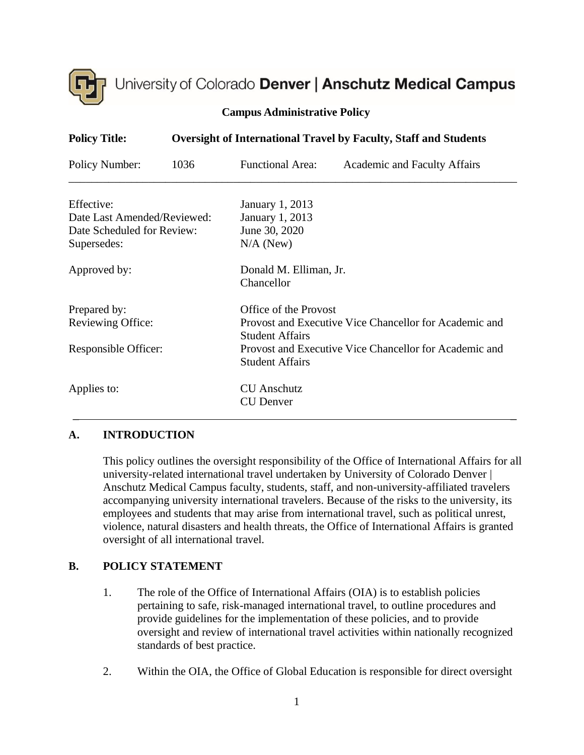

# University of Colorado Denver | Anschutz Medical Campus

| <b>Campus Administrative Policy</b> |  |  |  |  |
|-------------------------------------|--|--|--|--|
|-------------------------------------|--|--|--|--|

| <b>Policy Title:</b>        | <b>Oversight of International Travel by Faculty, Staff and Students</b> |                                                                                  |                              |  |  |
|-----------------------------|-------------------------------------------------------------------------|----------------------------------------------------------------------------------|------------------------------|--|--|
| Policy Number:              | 1036                                                                    | <b>Functional Area:</b>                                                          | Academic and Faculty Affairs |  |  |
| Effective:                  |                                                                         | January 1, 2013                                                                  |                              |  |  |
| Date Last Amended/Reviewed: |                                                                         | January 1, 2013                                                                  |                              |  |  |
| Date Scheduled for Review:  |                                                                         | June 30, 2020                                                                    |                              |  |  |
| Supersedes:                 |                                                                         | $N/A$ (New)                                                                      |                              |  |  |
| Approved by:                |                                                                         | Donald M. Elliman, Jr.                                                           |                              |  |  |
|                             |                                                                         | Chancellor                                                                       |                              |  |  |
| Prepared by:                |                                                                         | Office of the Provost                                                            |                              |  |  |
| Reviewing Office:           |                                                                         | Provost and Executive Vice Chancellor for Academic and<br><b>Student Affairs</b> |                              |  |  |
| Responsible Officer:        |                                                                         | Provost and Executive Vice Chancellor for Academic and                           |                              |  |  |
|                             |                                                                         | <b>Student Affairs</b>                                                           |                              |  |  |
| Applies to:                 |                                                                         | <b>CU</b> Anschutz                                                               |                              |  |  |
|                             |                                                                         | <b>CU</b> Denver                                                                 |                              |  |  |

#### **A. INTRODUCTION**

This policy outlines the oversight responsibility of the Office of International Affairs for all university-related international travel undertaken by University of Colorado Denver | Anschutz Medical Campus faculty, students, staff, and non-university-affiliated travelers accompanying university international travelers. Because of the risks to the university, its employees and students that may arise from international travel, such as political unrest, violence, natural disasters and health threats, the Office of International Affairs is granted oversight of all international travel.

### **B. POLICY STATEMENT**

- 1. The role of the Office of International Affairs (OIA) is to establish policies pertaining to safe, risk-managed international travel, to outline procedures and provide guidelines for the implementation of these policies, and to provide oversight and review of international travel activities within nationally recognized standards of best practice.
- 2. Within the OIA, the Office of Global Education is responsible for direct oversight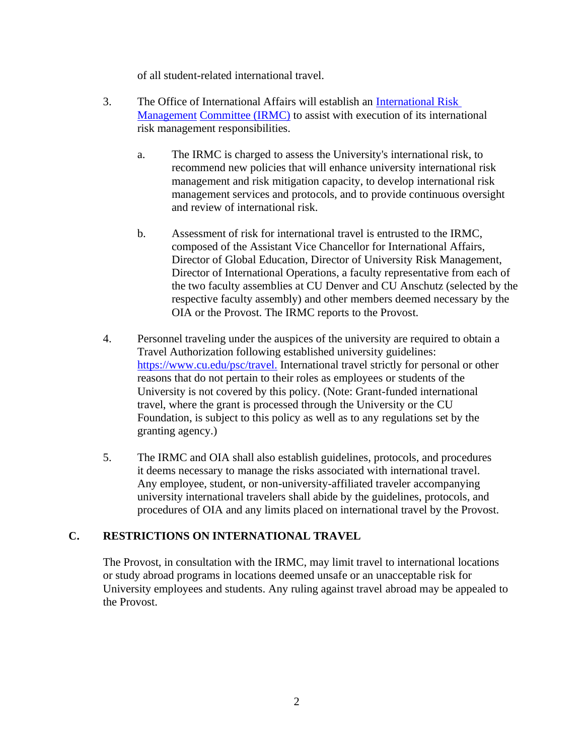of all student-related international travel.

- 3. The Office of International Affairs will establish an [International Risk](http://www.ucdenver.edu/academics/InternationalPrograms/oia/operations/travel/irmc/Pages/default.aspx)  [Management](http://www.ucdenver.edu/academics/InternationalPrograms/oia/operations/travel/irmc/Pages/default.aspx) [Committee \(IRMC\)](http://www.ucdenver.edu/academics/InternationalPrograms/oia/operations/travel/irmc/Pages/default.aspx) to assist with execution of its international risk management responsibilities.
	- a. The IRMC is charged to assess the University's international risk, to recommend new policies that will enhance university international risk management and risk mitigation capacity, to develop international risk management services and protocols, and to provide continuous oversight and review of international risk.
	- b. Assessment of risk for international travel is entrusted to the IRMC, composed of the Assistant Vice Chancellor for International Affairs, Director of Global Education, Director of University Risk Management, Director of International Operations, a faculty representative from each of the two faculty assemblies at CU Denver and CU Anschutz (selected by the respective faculty assembly) and other members deemed necessary by the OIA or the Provost. The IRMC reports to the Provost.
- 4. Personnel traveling under the auspices of the university are required to obtain a Travel Authorization following established university guidelines: [https://www.cu.edu/psc/travel.](https://www.cu.edu/psc/travel) International travel strictly for personal or other reasons that do not pertain to their roles as employees or students of the University is not covered by this policy. (Note: Grant-funded international travel, where the grant is processed through the University or the CU Foundation, is subject to this policy as well as to any regulations set by the granting agency.)
- 5. The IRMC and OIA shall also establish guidelines, protocols, and procedures it deems necessary to manage the risks associated with international travel. Any employee, student, or non-university-affiliated traveler accompanying university international travelers shall abide by the guidelines, protocols, and procedures of OIA and any limits placed on international travel by the Provost.

## **C. RESTRICTIONS ON INTERNATIONAL TRAVEL**

The Provost, in consultation with the IRMC, may limit travel to international locations or study abroad programs in locations deemed unsafe or an unacceptable risk for University employees and students. Any ruling against travel abroad may be appealed to the Provost.